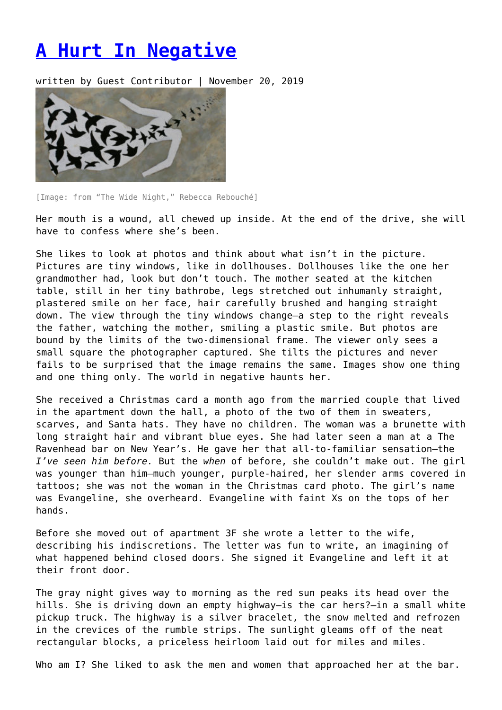## **[A Hurt In Negative](https://entropymag.org/a-hurt-in-negative/)**

written by Guest Contributor | November 20, 2019



[Image: from "The Wide Night," Rebecca Rebouché]

Her mouth is a wound, all chewed up inside. At the end of the drive, she will have to confess where she's been.

She likes to look at photos and think about what isn't in the picture. Pictures are tiny windows, like in dollhouses. Dollhouses like the one her grandmother had, look but don't touch. The mother seated at the kitchen table, still in her tiny bathrobe, legs stretched out inhumanly straight, plastered smile on her face, hair carefully brushed and hanging straight down. The view through the tiny windows change—a step to the right reveals the father, watching the mother, smiling a plastic smile. But photos are bound by the limits of the two-dimensional frame. The viewer only sees a small square the photographer captured. She tilts the pictures and never fails to be surprised that the image remains the same. Images show one thing and one thing only. The world in negative haunts her.

She received a Christmas card a month ago from the married couple that lived in the apartment down the hall, a photo of the two of them in sweaters, scarves, and Santa hats. They have no children. The woman was a brunette with long straight hair and vibrant blue eyes. She had later seen a man at a The Ravenhead bar on New Year's. He gave her that all-to-familiar sensation—the *I've seen him before.* But the *when* of before, she couldn't make out. The girl was younger than him—much younger, purple-haired, her slender arms covered in tattoos; she was not the woman in the Christmas card photo. The girl's name was Evangeline, she overheard. Evangeline with faint Xs on the tops of her hands.

Before she moved out of apartment 3F she wrote a letter to the wife, describing his indiscretions. The letter was fun to write, an imagining of what happened behind closed doors. She signed it Evangeline and left it at their front door.

The gray night gives way to morning as the red sun peaks its head over the hills. She is driving down an empty highway—is the car hers?—in a small white pickup truck. The highway is a silver bracelet, the snow melted and refrozen in the crevices of the rumble strips. The sunlight gleams off of the neat rectangular blocks, a priceless heirloom laid out for miles and miles.

Who am I? She liked to ask the men and women that approached her at the bar.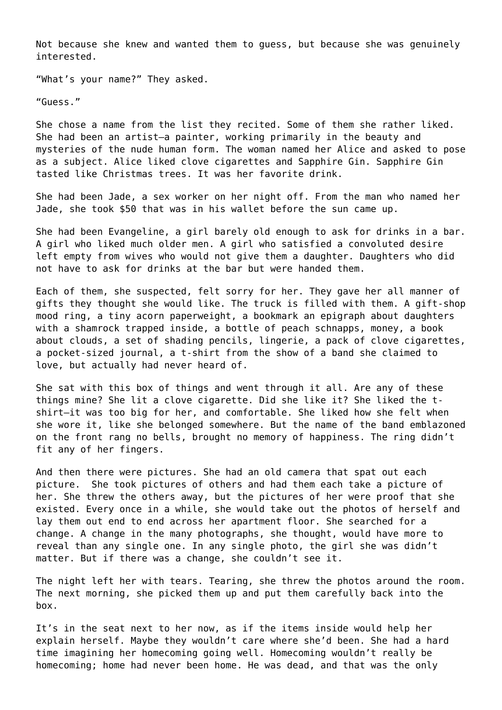Not because she knew and wanted them to guess, but because she was genuinely interested.

"What's your name?" They asked.

"Guess."

She chose a name from the list they recited. Some of them she rather liked. She had been an artist—a painter, working primarily in the beauty and mysteries of the nude human form. The woman named her Alice and asked to pose as a subject. Alice liked clove cigarettes and Sapphire Gin. Sapphire Gin tasted like Christmas trees. It was her favorite drink.

She had been Jade, a sex worker on her night off. From the man who named her Jade, she took \$50 that was in his wallet before the sun came up.

She had been Evangeline, a girl barely old enough to ask for drinks in a bar. A girl who liked much older men. A girl who satisfied a convoluted desire left empty from wives who would not give them a daughter. Daughters who did not have to ask for drinks at the bar but were handed them.

Each of them, she suspected, felt sorry for her. They gave her all manner of gifts they thought she would like. The truck is filled with them. A gift-shop mood ring, a tiny acorn paperweight, a bookmark an epigraph about daughters with a shamrock trapped inside, a bottle of peach schnapps, money, a book about clouds, a set of shading pencils, lingerie, a pack of clove cigarettes, a pocket-sized journal, a t-shirt from the show of a band she claimed to love, but actually had never heard of.

She sat with this box of things and went through it all. Are any of these things mine? She lit a clove cigarette. Did she like it? She liked the tshirt—it was too big for her, and comfortable. She liked how she felt when she wore it, like she belonged somewhere. But the name of the band emblazoned on the front rang no bells, brought no memory of happiness. The ring didn't fit any of her fingers.

And then there were pictures. She had an old camera that spat out each picture. She took pictures of others and had them each take a picture of her. She threw the others away, but the pictures of her were proof that she existed. Every once in a while, she would take out the photos of herself and lay them out end to end across her apartment floor. She searched for a change. A change in the many photographs, she thought, would have more to reveal than any single one. In any single photo, the girl she was didn't matter. But if there was a change, she couldn't see it.

The night left her with tears. Tearing, she threw the photos around the room. The next morning, she picked them up and put them carefully back into the box.

It's in the seat next to her now, as if the items inside would help her explain herself. Maybe they wouldn't care where she'd been. She had a hard time imagining her homecoming going well. Homecoming wouldn't really be homecoming; home had never been home. He was dead, and that was the only